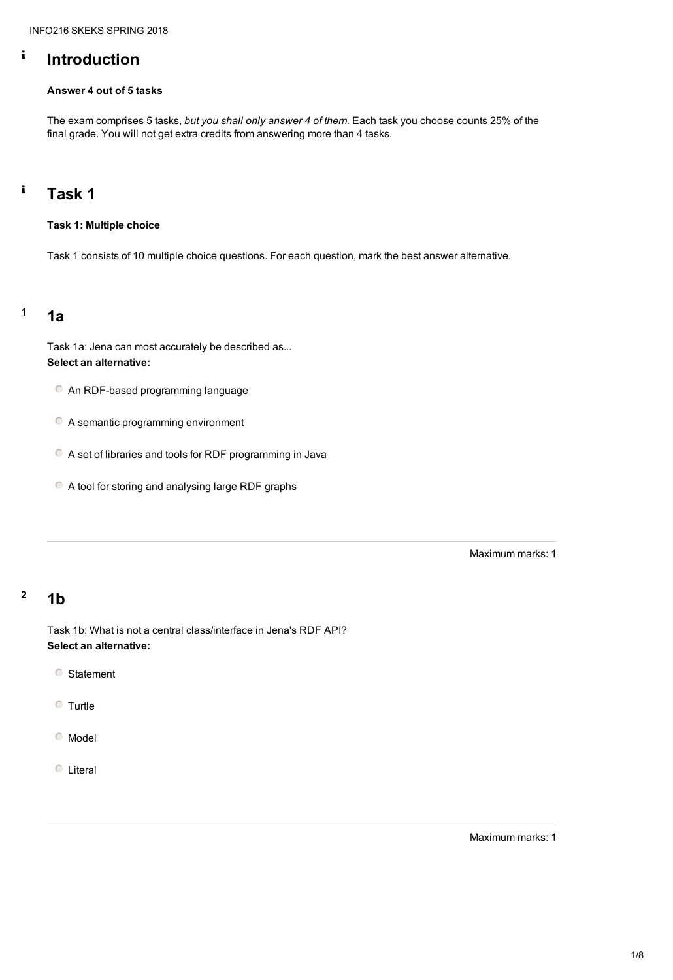#### $\mathbf{i}$ **Introduction**

#### **Answer 4 out of 5 tasks**

#### $\mathbf{i}$ **Task 1**

The exam comprises 5 tasks, *but you shall only answer 4 of them.* Each task you choose counts 25% of the final grade. You will not get extra credits from answering more than 4 tasks.

### **Task 1: Multiple choice**

Task 1 consists of 10 multiple choice questions. For each question, mark the best answer alternative.

# **<sup>1</sup> 1a**

Task 1a: Jena can most accurately be described as... **Select an alternative:**

- An RDF-based programming language
- A semantic programming environment
- A set of libraries and tools for RDF programming in Java
- A tool for storing and analysing large RDF graphs

# **<sup>2</sup> 1b**

Task 1b: What is not a central class/interface in Jena's RDF API? **Select an alternative:**

Statement

Turtle

Model

Literal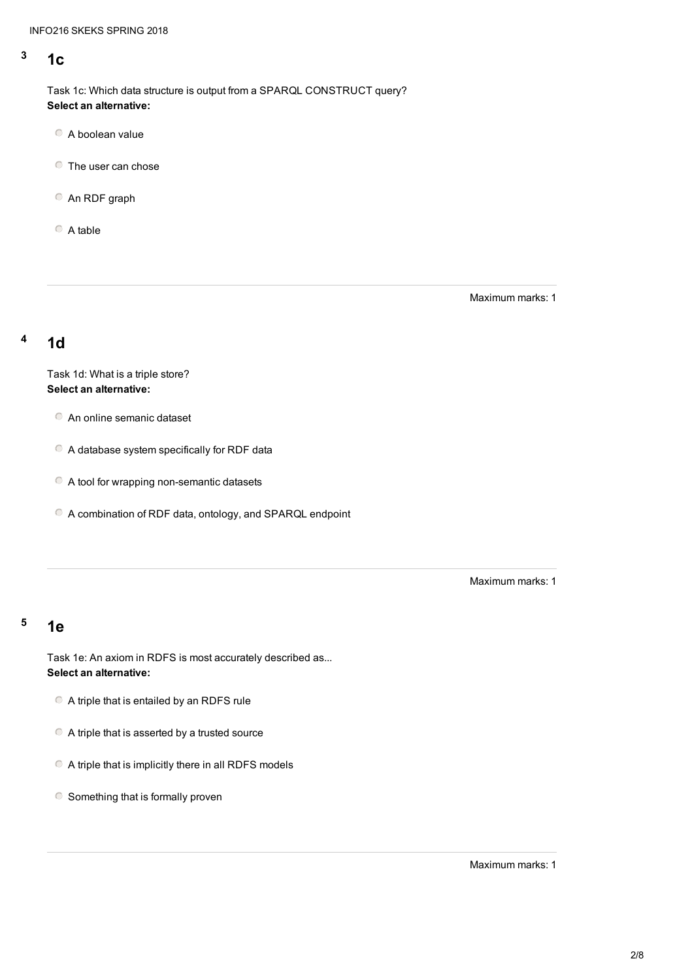# **<sup>3</sup> 1c**

Task 1c: Which data structure is output from a SPARQL CONSTRUCT query? **Select an alternative:**

- A boolean value
- **C** The user can chose
- An RDF graph

 $\circ$  A table

Maximum marks: 1

# **<sup>4</sup> 1d**

Task 1d: What is a triple store? **Select an alternative:**

- A triple that is entailed by an RDFS rule
- A triple that is asserted by a trusted source
- A triple that is implicitly there in all RDFS models
- $\circ$  Something that is formally proven
- An online semanic dataset
- A database system specifically for RDF data
- A tool for wrapping non-semantic datasets
- A combination of RDF data, ontology, and SPARQL endpoint

## **<sup>5</sup> 1e**

Task 1e: An axiom in RDFS is most accurately described as... **Select an alternative:**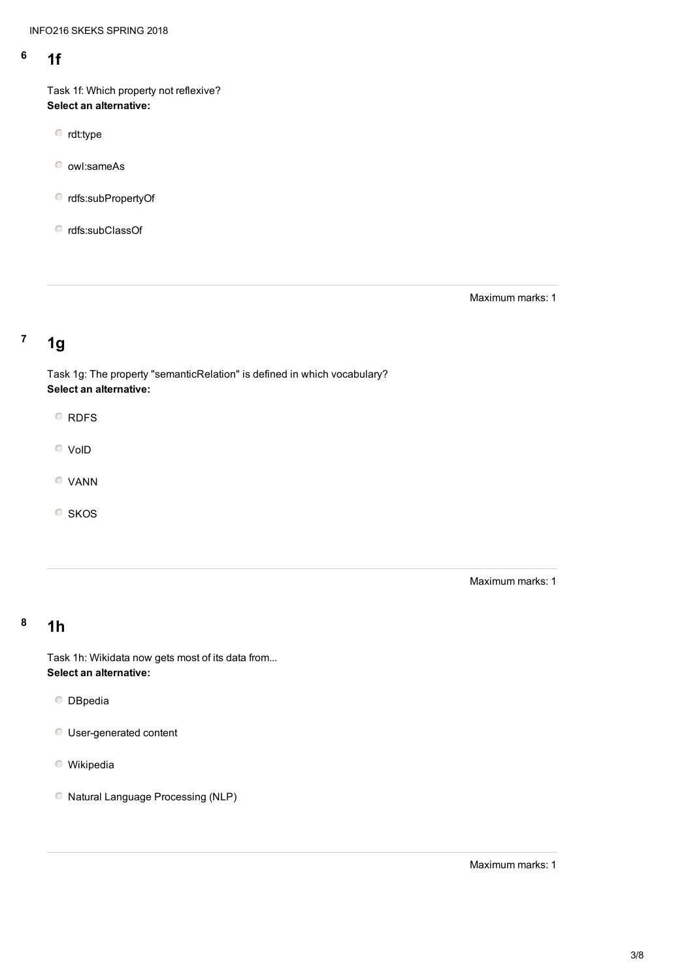# **<sup>6</sup> 1f**

Task 1f: Which property not reflexive? **Select an alternative:**

rdt:type

owl:sameAs

rdfs:subPropertyOf

rdfs:subClassOf

Maximum marks: 1

# **<sup>7</sup> 1g**

Task 1g: The property "semanticRelation" is defined in which vocabulary? **Select an alternative:**

O RDFS

VoID

VANN

SKOS

# **<sup>8</sup> 1h**

Task 1h: Wikidata now gets most of its data from... **Select an alternative:**

**O** DBpedia

User-generated content

Wikipedia

Natural Language Processing (NLP)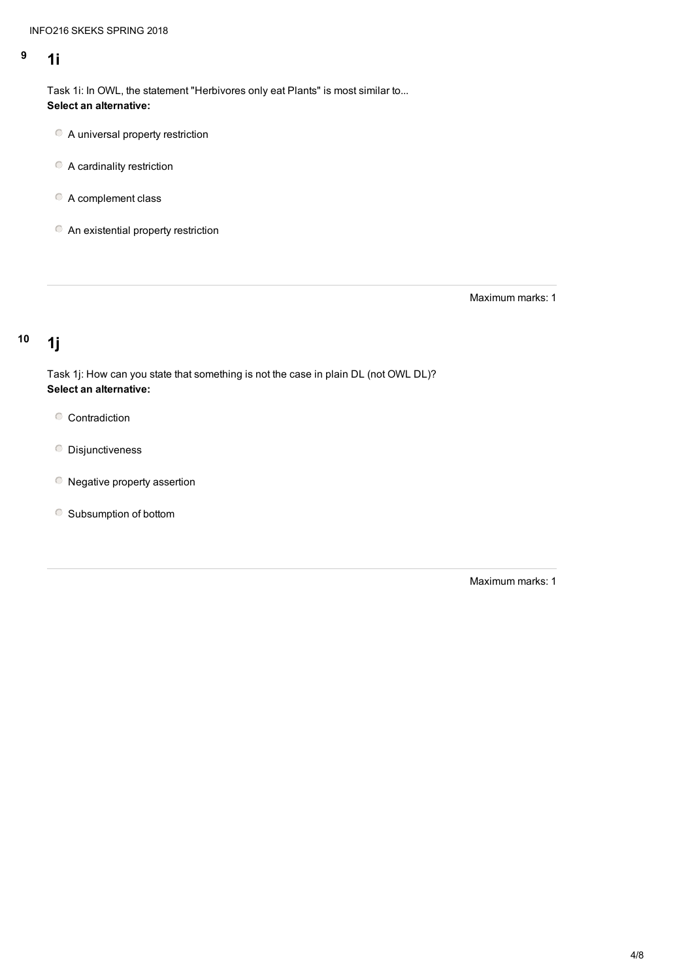## **<sup>9</sup> 1i**

- A universal property restriction
- A cardinality restriction
- A complement class
- **C** An existential property restriction

Task 1i: In OWL, the statement "Herbivores only eat Plants" is most similar to... **Select an alternative:**

- Contradiction
- **O** Disjunctiveness
- Negative property assertion
- Subsumption of bottom

Maximum marks: 1

# **<sup>10</sup> 1j**

Task 1j: How can you state that something is not the case in plain DL (not OWL DL)? **Select an alternative:**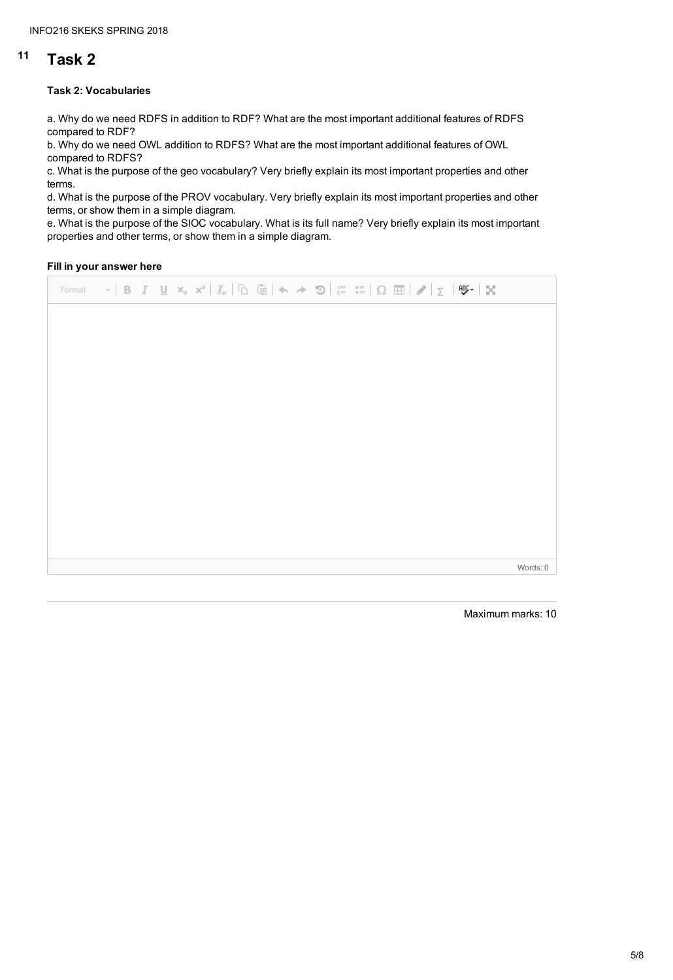# **<sup>11</sup> Task 2**

#### **Task 2: Vocabularies**

a. Why do we need RDFS in addition to RDF? What are the most important additional features of RDFS compared to RDF?

b. Why do we need OWL addition to RDFS? What are the most important additional features of OWL compared to RDFS?

c. What is the purpose of the geo vocabulary? Very briefly explain its most important properties and other terms.

d. What is the purpose of the PROV vocabulary. Very briefly explain its most important properties and other terms, or show them in a simple diagram.

e. What is the purpose of the SIOC vocabulary. What is its full name? Very briefly explain its most important properties and other terms, or show them in a simple diagram.

#### **Fill in your answer here**

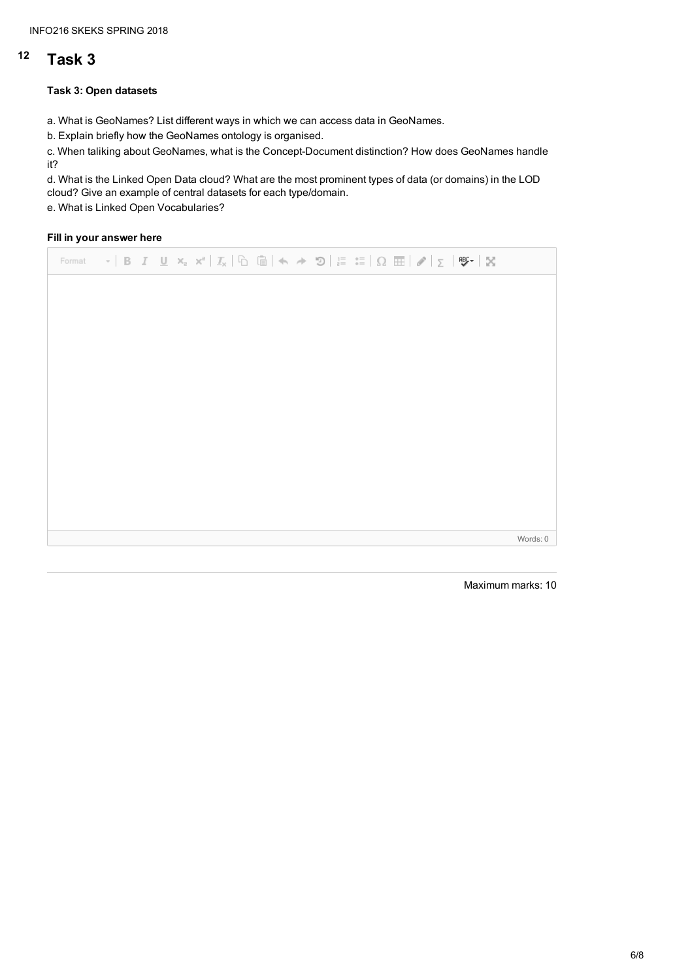# **<sup>12</sup> Task 3**

#### **Task 3: Open datasets**

a. What is GeoNames? List different ways in which we can access data in GeoNames.

b. Explain briefly how the GeoNames ontology is organised.

c. When taliking about GeoNames, what is the Concept-Document distinction? How does GeoNames handle it?

d. What is the Linked Open Data cloud? What are the most prominent types of data (or domains) in the LOD cloud? Give an example of central datasets for each type/domain.

e. What is Linked Open Vocabularies?

### **Fill in your answer here**

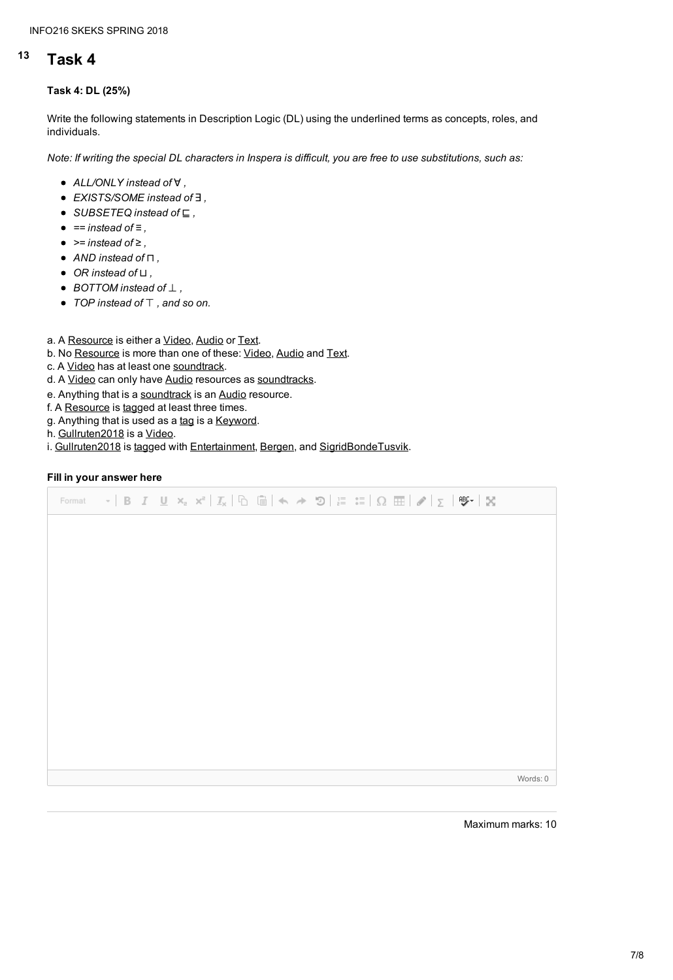#### INFO216 SKEKS SPRING 2018

# **<sup>13</sup> Task 4**

#### **Task 4: DL (25%)**

Write the following statements in Description Logic (DL) using the underlined terms as concepts, roles, and individuals.

Note: If writing the special DL characters in Inspera is difficult, you are free to use substitutions, such as:

- *ALL/ONLY instead of* ∀ *,*
- *EXISTS/SOME instead of* ∃ *,*
- *SUBSETEQ instead of* ⊑ *,*
- *== instead of ≡ ,*
- *>= instead of ≥ ,*
- *AND instead of* ⊓ *,*
- *OR instead of* ⊔ *,*
- *BOTTOM instead of* ⊥ *,*
- *TOP instead of* ⊤ *, and so on.*
- a. A Resource is either a Video, Audio or Text.
- b. No Resource is more than one of these: Video, Audio and Text.
- c. A Video has at least one soundtrack.
- d. A Video can only have Audio resources as soundtracks.
- e. Anything that is a soundtrack is an Audio resource.
- f. A Resource is tagged at least three times.
- g. Anything that is used as a tag is a Keyword.
- h. Gullruten2018 is a Video.
- i. Gullruten2018 is tagged with Entertainment, Bergen, and SigridBondeTusvik.

#### **Fill in your answer here**

Format  $\mathbf{v}$  | B  $I$   $\underline{\mathbf{U}}$   $\mathbf{x}_z$   $\mathbf{x}^z$  |  $\underline{T}_X$  |  $\underline{\mathbb{G}}$  |  $\mathbf{A}$   $\rightarrow$   $\mathbf{D}$  |  $\underset{z=0}{\mathbb{E}}$   $\underset{z=0}{\mathbb{E}}$  |  $\Omega$   $\mathbf{H}$  |  $\mathcal{J}$  |  $\boldsymbol{\Sigma}$  |  $\mathbf{Y}$  |  $\mathbf{X}$ 

Words: 0